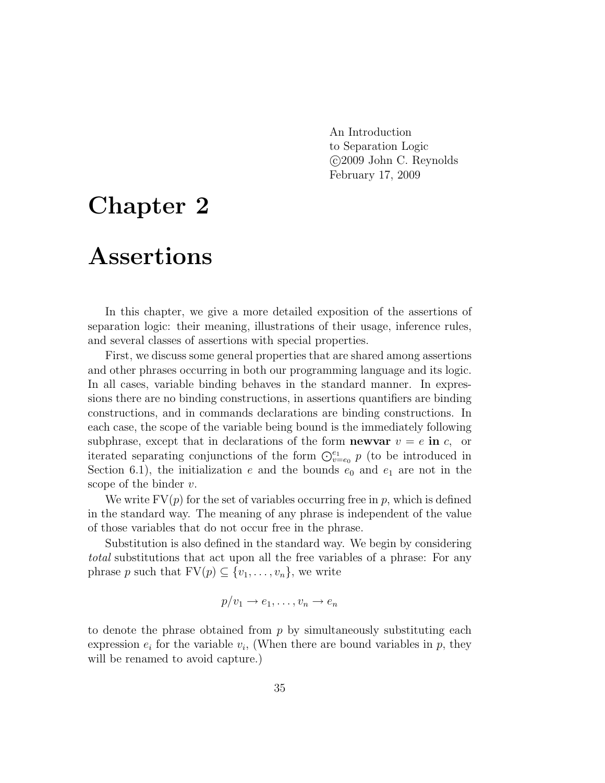An Introduction to Separation Logic c 2009 John C. Reynolds February 17, 2009

# Chapter 2

# Assertions

In this chapter, we give a more detailed exposition of the assertions of separation logic: their meaning, illustrations of their usage, inference rules, and several classes of assertions with special properties.

First, we discuss some general properties that are shared among assertions and other phrases occurring in both our programming language and its logic. In all cases, variable binding behaves in the standard manner. In expressions there are no binding constructions, in assertions quantifiers are binding constructions, and in commands declarations are binding constructions. In each case, the scope of the variable being bound is the immediately following subphrase, except that in declarations of the form **newvar**  $v = e$  in c, or iterated separating conjunctions of the form  $\bigodot_{v=e_0}^{e_1} p$  (to be introduced in Section 6.1), the initialization e and the bounds  $e_0$  and  $e_1$  are not in the scope of the binder  $v$ .

We write  $FV(p)$  for the set of variables occurring free in p, which is defined in the standard way. The meaning of any phrase is independent of the value of those variables that do not occur free in the phrase.

Substitution is also defined in the standard way. We begin by considering total substitutions that act upon all the free variables of a phrase: For any phrase p such that  $FV(p) \subseteq \{v_1, \ldots, v_n\}$ , we write

$$
p/v_1 \to e_1, \ldots, v_n \to e_n
$$

to denote the phrase obtained from  $p$  by simultaneously substituting each expression  $e_i$  for the variable  $v_i$ , (When there are bound variables in  $p$ , they will be renamed to avoid capture.)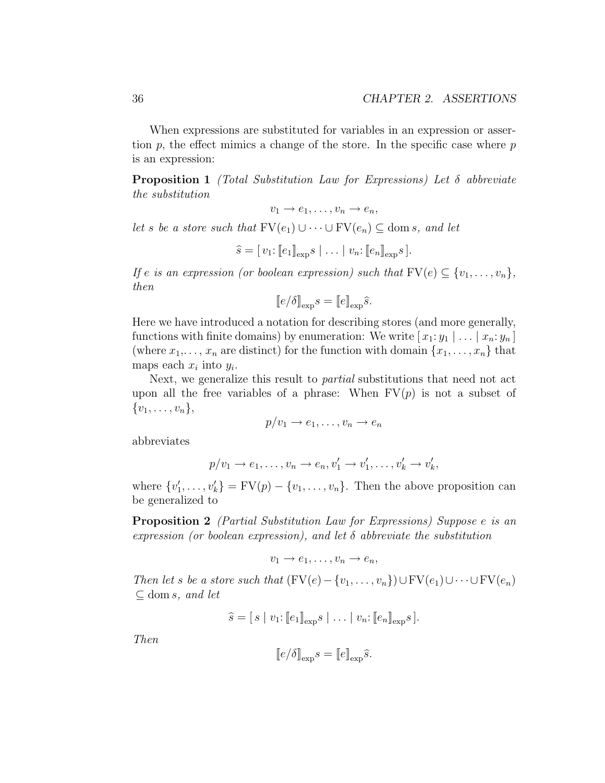When expressions are substituted for variables in an expression or assertion  $p$ , the effect mimics a change of the store. In the specific case where  $p$ is an expression:

**Proposition 1** (Total Substitution Law for Expressions) Let  $\delta$  abbreviate the substitution

$$
v_1 \to e_1, \ldots, v_n \to e_n,
$$

let s be a store such that  $\text{FV}(e_1) \cup \cdots \cup \text{FV}(e_n) \subseteq \text{dom } s$ , and let

$$
\widehat{s} = [v_1: [e_1]_{\exp} s \mid \ldots \mid v_n: [e_n]_{\exp} s].
$$

If e is an expression (or boolean expression) such that  $FV(e) \subseteq \{v_1, \ldots, v_n\},$ then

$$
[\![e/\delta]\!]_{\text{exp}}s = [\![e]\!]_{\text{exp}}\hat{s}.
$$

Here we have introduced a notation for describing stores (and more generally, functions with finite domains) by enumeration: We write  $[x_1:y_1 | \ldots | x_n:y_n]$ (where  $x_1, \ldots, x_n$  are distinct) for the function with domain  $\{x_1, \ldots, x_n\}$  that maps each  $x_i$  into  $y_i$ .

Next, we generalize this result to partial substitutions that need not act upon all the free variables of a phrase: When  $FV(p)$  is not a subset of  $\{v_1, \ldots, v_n\},\$ 

$$
p/v_1 \to e_1, \ldots, v_n \to e_n
$$

abbreviates

$$
p/v_1 \to e_1, \ldots, v_n \to e_n, v'_1 \to v'_1, \ldots, v'_k \to v'_k,
$$

where  $\{v'_1, \ldots, v'_k\} = \text{FV}(p) - \{v_1, \ldots, v_n\}$ . Then the above proposition can be generalized to

Proposition 2 (Partial Substitution Law for Expressions) Suppose e is an expression (or boolean expression), and let  $\delta$  abbreviate the substitution

$$
v_1 \to e_1, \ldots, v_n \to e_n,
$$

Then let s be a store such that  $(FV(e) - \{v_1, \ldots, v_n\}) \cup FV(e_1) \cup \cdots \cup FV(e_n)$  $\subseteq$  dom s, and let

$$
\widehat{s} = [s \mid v_1: [e_1]_{\exp} s \mid \ldots \mid v_n: [e_n]_{\exp} s].
$$

Then

$$
[\![e/\delta]\!]_{\text{exp}}s = [\![e]\!]_{\text{exp}}\hat{s}.
$$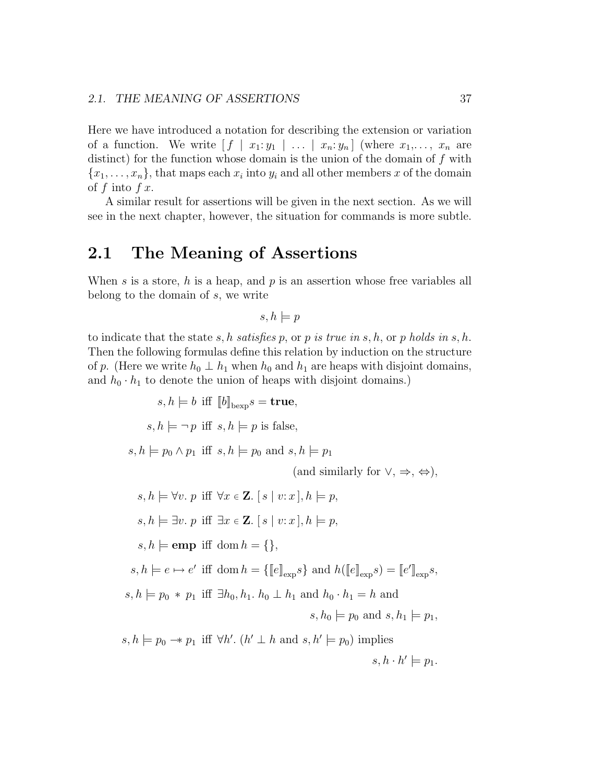Here we have introduced a notation for describing the extension or variation of a function. We write  $[f \mid x_1: y_1 \mid \ldots \mid x_n: y_n]$  (where  $x_1, \ldots, x_n$  are distinct) for the function whose domain is the union of the domain of  $f$  with  ${x_1, \ldots, x_n}$ , that maps each  $x_i$  into  $y_i$  and all other members x of the domain of  $f$  into  $f x$ .

A similar result for assertions will be given in the next section. As we will see in the next chapter, however, the situation for commands is more subtle.

## 2.1 The Meaning of Assertions

When s is a store, h is a heap, and p is an assertion whose free variables all belong to the domain of s, we write

$$
s, h \models p
$$

to indicate that the state s, h satisfies p, or p is true in s, h, or p holds in s, h. Then the following formulas define this relation by induction on the structure of p. (Here we write  $h_0 \perp h_1$  when  $h_0$  and  $h_1$  are heaps with disjoint domains, and  $h_0 \cdot h_1$  to denote the union of heaps with disjoint domains.)

$$
s, h \models b \text{ iff } [b]_{\text{bexp}} s = \textbf{true},
$$
  
\n
$$
s, h \models \neg p \text{ iff } s, h \models p \text{ is false},
$$
  
\n
$$
s, h \models p_0 \land p_1 \text{ iff } s, h \models p_0 \text{ and } s, h \models p_1
$$
  
\n
$$
\text{(and similarly for } \lor, \Rightarrow, \Leftrightarrow),
$$
  
\n
$$
s, h \models \forall v. p \text{ iff } \forall x \in \mathbf{Z}. [s \mid v : x], h \models p,
$$
  
\n
$$
s, h \models \exists v. p \text{ iff } \exists x \in \mathbf{Z}. [s \mid v : x], h \models p,
$$
  
\n
$$
s, h \models \textbf{emp} \text{ iff } \text{dom } h = \{\},
$$
  
\n
$$
s, h \models e \mapsto e' \text{ iff } \text{dom } h = \{\llbracket e \rrbracket_{\exp} s\} \text{ and } h(\llbracket e \rrbracket_{\exp} s) = \llbracket e' \rrbracket_{\exp} s,
$$
  
\n
$$
s, h \models p_0 * p_1 \text{ iff } \exists h_0, h_1. h_0 \perp h_1 \text{ and } h_0 \cdot h_1 = h \text{ and }
$$
  
\n
$$
s, h_0 \models p_0 \text{ and } s, h_1 \models p_1,
$$
  
\n
$$
s, h \models p_0 \rightarrow p_1 \text{ iff } \forall h'. (h' \perp h \text{ and } s, h' \models p_0) \text{ implies}
$$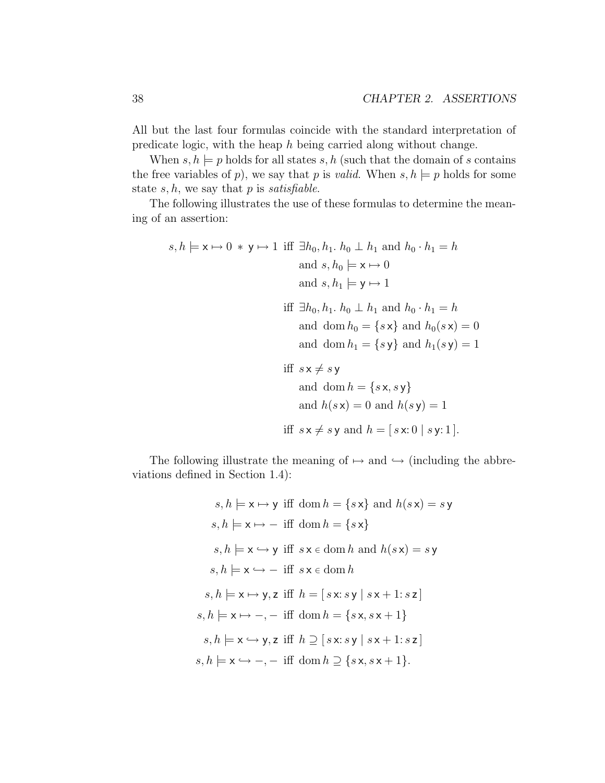All but the last four formulas coincide with the standard interpretation of predicate logic, with the heap h being carried along without change.

When  $s, h \models p$  holds for all states  $s, h$  (such that the domain of s contains the free variables of p), we say that p is valid. When  $s, h \models p$  holds for some state  $s, h$ , we say that  $p$  is *satisfiable*.

The following illustrates the use of these formulas to determine the meaning of an assertion:

$$
s, h \models \mathbf{x} \mapsto 0 * \mathbf{y} \mapsto 1 \text{ iff } \exists h_0, h_1. h_0 \perp h_1 \text{ and } h_0 \cdot h_1 = h
$$
  
and  $s, h_0 \models \mathbf{x} \mapsto 0$   
and  $s, h_1 \models \mathbf{y} \mapsto 1$   
iff  $\exists h_0, h_1. h_0 \perp h_1 \text{ and } h_0 \cdot h_1 = h$   
and  $\text{dom } h_0 = \{s \mathbf{x}\} \text{ and } h_0(s \mathbf{x}) = 0$   
and  $\text{dom } h_1 = \{s \mathbf{y}\} \text{ and } h_1(s \mathbf{y}) = 1$   
iff  $s \mathbf{x} \neq s \mathbf{y}$   
and  $\text{dom } h = \{s \mathbf{x}, s \mathbf{y}\}$   
and  $h(s \mathbf{x}) = 0 \text{ and } h(s \mathbf{y}) = 1$ 

$$
iff s \times \neq s \text{ y and } h = [s \times 0 \mid s \text{ y: 1}].
$$

The following illustrate the meaning of  $\mapsto$  and  $\hookrightarrow$  (including the abbreviations defined in Section 1.4):

$$
s, h \models x \mapsto y \text{ iff } \text{dom } h = \{sx\} \text{ and } h(sx) = sy
$$
\n
$$
s, h \models x \mapsto - \text{ iff } \text{dom } h = \{sx\}
$$
\n
$$
s, h \models x \hookrightarrow y \text{ iff } s \times \in \text{dom } h \text{ and } h(sx) = sy
$$
\n
$$
s, h \models x \hookrightarrow - \text{ iff } s \times \in \text{dom } h
$$
\n
$$
s, h \models x \mapsto y, z \text{ iff } h = [s \times : sy \mid s \times + 1 : sz]
$$
\n
$$
s, h \models x \mapsto -, - \text{ iff } \text{dom } h = \{sx, sx+1\}
$$
\n
$$
s, h \models x \hookrightarrow y, z \text{ iff } h \supseteq [s \times : sy \mid sx+1 : sz]
$$
\n
$$
s, h \models x \hookrightarrow -, - \text{ iff } \text{dom } h \supseteq \{sx, sx+1\}.
$$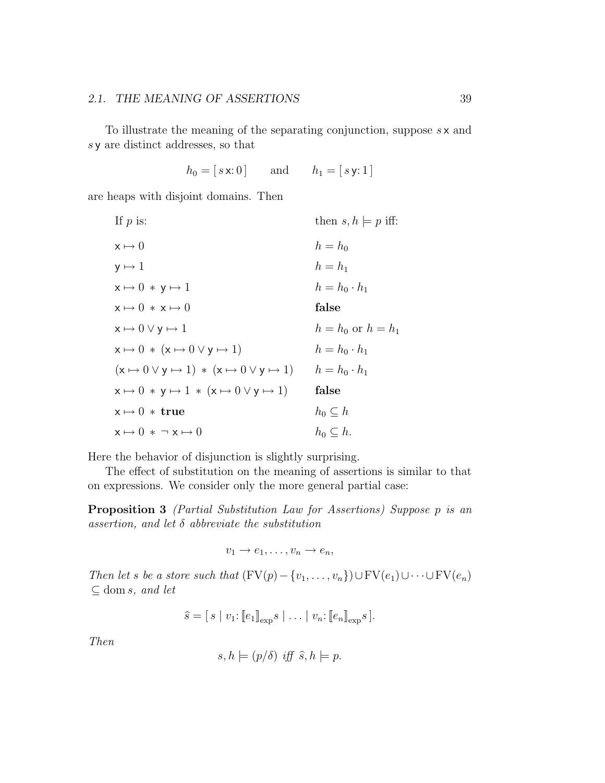#### 2.1. THE MEANING OF ASSERTIONS 39

To illustrate the meaning of the separating conjunction, suppose  $s \times s$  and s y are distinct addresses, so that

 $h_0 = [s \times 0]$  and  $h_1 = [s \text{ y} : 1]$ 

are heaps with disjoint domains. Then

| If $p$ is:                                                             | then $s, h \models p$ iff: |
|------------------------------------------------------------------------|----------------------------|
| $x \mapsto 0$                                                          | $h = h_0$                  |
| $y \mapsto 1$                                                          | $h=h_1$                    |
| $x \mapsto 0 \times y \mapsto 1$                                       | $h = h_0 \cdot h_1$        |
| $x \mapsto 0 \cdot x \mapsto 0$                                        | false                      |
| $x \mapsto 0 \vee y \mapsto 1$                                         | $h = h_0$ or $h = h_1$     |
| $x \mapsto 0 \ast (x \mapsto 0 \vee y \mapsto 1)$                      | $h = h_0 \cdot h_1$        |
| $(x \mapsto 0 \vee y \mapsto 1) * (x \mapsto 0 \vee y \mapsto 1)$      | $h = h_0 \cdot h_1$        |
| $x \mapsto 0 \times y \mapsto 1 \times (x \mapsto 0 \vee y \mapsto 1)$ | false                      |
| $x \mapsto 0$ * true                                                   | $h_0\subseteq h$           |
| $x \mapsto 0 \cdot \neg x \mapsto 0$                                   | $h_0\subset h$ .           |

Here the behavior of disjunction is slightly surprising.

The effect of substitution on the meaning of assertions is similar to that on expressions. We consider only the more general partial case:

Proposition 3 (Partial Substitution Law for Assertions) Suppose p is an assertion, and let  $\delta$  abbreviate the substitution

 $v_1 \rightarrow e_1, \ldots, v_n \rightarrow e_n,$ 

Then let s be a store such that  $(FV(p) - \{v_1, \ldots, v_n\}) \cup FV(e_1) \cup \cdots \cup FV(e_n)$  $\subseteq$  dom s, and let

$$
\widehat{s} = [s \mid v_1: [e_1]_{\exp} s \mid \ldots \mid v_n: [e_n]_{\exp} s].
$$

Then

$$
s, h \models (p/\delta) \text{ iff } \hat{s}, h \models p.
$$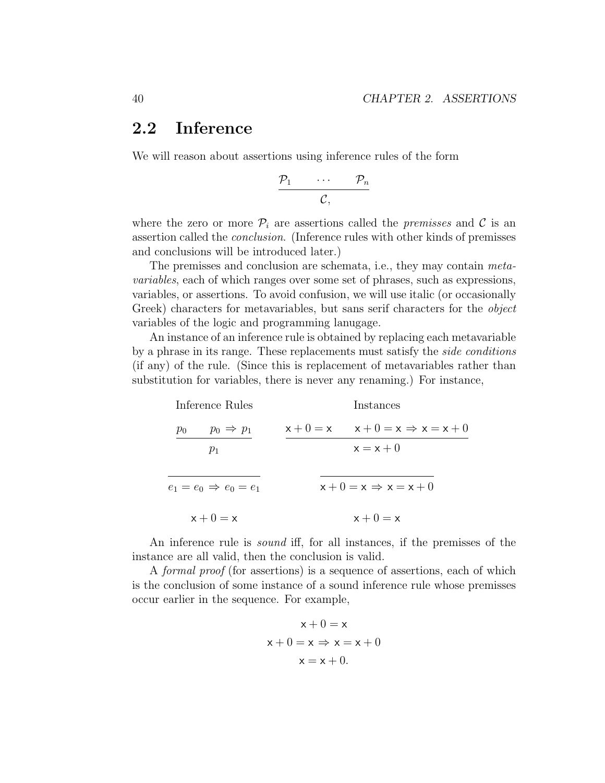# 2.2 Inference

We will reason about assertions using inference rules of the form

$$
\begin{array}{ccc}\n\mathcal{P}_1 & \cdots & \mathcal{P}_n \\
\hline\n\mathcal{C}, & & & \\
\end{array}
$$

where the zero or more  $\mathcal{P}_i$  are assertions called the *premisses* and C is an assertion called the conclusion. (Inference rules with other kinds of premisses and conclusions will be introduced later.)

The premisses and conclusion are schemata, i.e., they may contain metavariables, each of which ranges over some set of phrases, such as expressions, variables, or assertions. To avoid confusion, we will use italic (or occasionally Greek) characters for metavariables, but sans serif characters for the *object* variables of the logic and programming lanugage.

An instance of an inference rule is obtained by replacing each metavariable by a phrase in its range. These replacements must satisfy the side conditions (if any) of the rule. (Since this is replacement of metavariables rather than substitution for variables, there is never any renaming.) For instance,

| Inference Rules                   | Instances                                     |
|-----------------------------------|-----------------------------------------------|
| $p_0 \Rightarrow p_1$<br>$p_0$    | $x + 0 = x$ $x + 0 = x \Rightarrow x = x + 0$ |
| $p_1$                             | $x = x + 0$                                   |
| $e_1 = e_0 \Rightarrow e_0 = e_1$ | $x + 0 = x \Rightarrow x = x + 0$             |
| $x + 0 = x$                       | $x + 0 = x$                                   |

An inference rule is sound iff, for all instances, if the premisses of the instance are all valid, then the conclusion is valid.

A formal proof (for assertions) is a sequence of assertions, each of which is the conclusion of some instance of a sound inference rule whose premisses occur earlier in the sequence. For example,

$$
x + 0 = x
$$
  

$$
x + 0 = x \Rightarrow x = x + 0
$$
  

$$
x = x + 0.
$$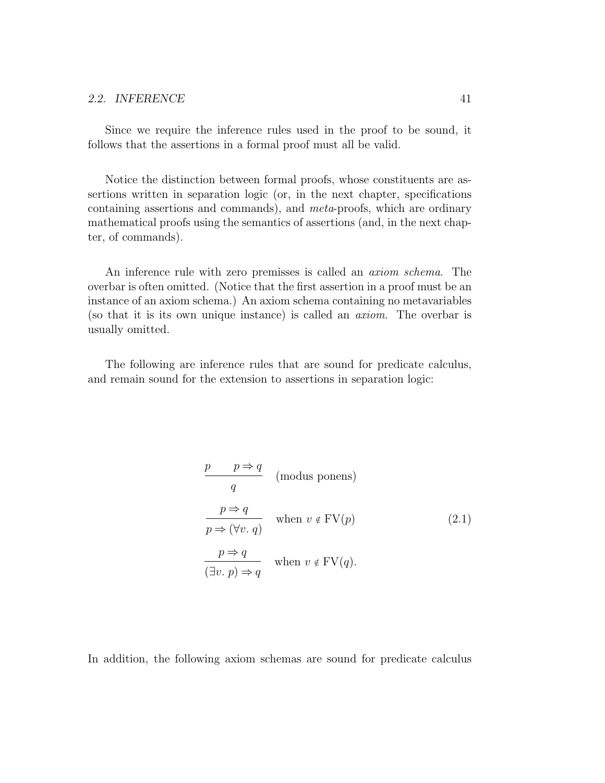Since we require the inference rules used in the proof to be sound, it follows that the assertions in a formal proof must all be valid.

Notice the distinction between formal proofs, whose constituents are assertions written in separation logic (or, in the next chapter, specifications containing assertions and commands), and meta-proofs, which are ordinary mathematical proofs using the semantics of assertions (and, in the next chapter, of commands).

An inference rule with zero premisses is called an axiom schema. The overbar is often omitted. (Notice that the first assertion in a proof must be an instance of an axiom schema.) An axiom schema containing no metavariables (so that it is its own unique instance) is called an axiom. The overbar is usually omitted.

The following are inference rules that are sound for predicate calculus, and remain sound for the extension to assertions in separation logic:

$$
\frac{p \quad p \Rightarrow q}{q} \quad \text{(modus ponens)}
$$
\n
$$
\frac{p \Rightarrow q}{p \Rightarrow (\forall v. q)} \quad \text{when } v \notin \text{FV}(p)
$$
\n
$$
\frac{p \Rightarrow q}{(\exists v. p) \Rightarrow q} \quad \text{when } v \notin \text{FV}(q).
$$
\n(2.1)

In addition, the following axiom schemas are sound for predicate calculus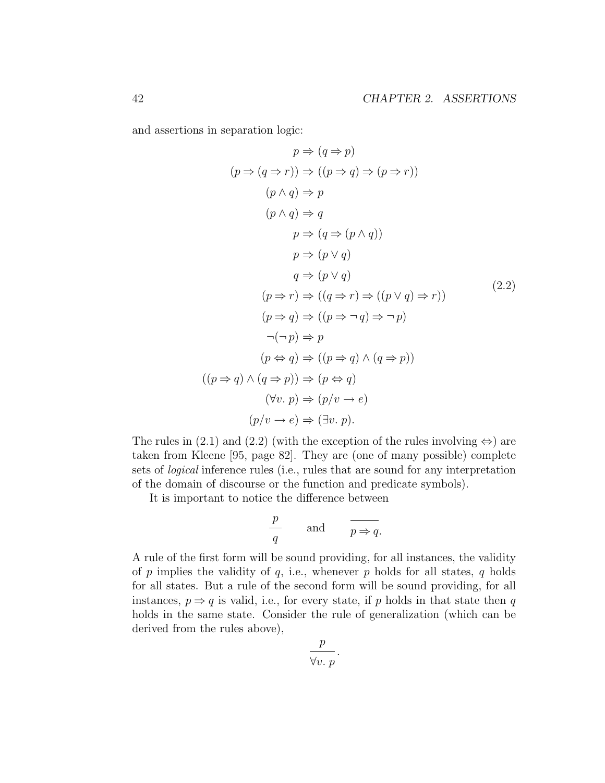and assertions in separation logic:

$$
p \Rightarrow (q \Rightarrow p)
$$
  
\n
$$
(p \Rightarrow (q \Rightarrow r)) \Rightarrow ((p \Rightarrow q) \Rightarrow (p \Rightarrow r))
$$
  
\n
$$
(p \land q) \Rightarrow p
$$
  
\n
$$
(p \land q) \Rightarrow q
$$
  
\n
$$
p \Rightarrow (q \Rightarrow (p \land q))
$$
  
\n
$$
p \Rightarrow (p \lor q)
$$
  
\n
$$
q \Rightarrow (p \lor q)
$$
  
\n
$$
(p \Rightarrow r) \Rightarrow ((q \Rightarrow r) \Rightarrow ((p \lor q) \Rightarrow r))
$$
  
\n
$$
(p \Rightarrow q) \Rightarrow ((p \Rightarrow \neg q) \Rightarrow \neg p)
$$
  
\n
$$
\neg(\neg p) \Rightarrow p
$$
  
\n
$$
(p \Leftrightarrow q) \Rightarrow ((p \Rightarrow q) \land (q \Rightarrow p))
$$
  
\n
$$
((p \Rightarrow q) \land (q \Rightarrow p)) \Rightarrow (p \Leftrightarrow q)
$$
  
\n
$$
(\forall v. p) \Rightarrow (p/v \rightarrow e)
$$
  
\n
$$
(p/v \rightarrow e) \Rightarrow (\exists v. p).
$$
  
\n(2.2)

The rules in (2.1) and (2.2) (with the exception of the rules involving  $\Leftrightarrow$ ) are taken from Kleene [95, page 82]. They are (one of many possible) complete sets of logical inference rules (i.e., rules that are sound for any interpretation of the domain of discourse or the function and predicate symbols).

It is important to notice the difference between

$$
\frac{p}{q} \qquad \text{and} \qquad \frac{}{p \Rightarrow q}.
$$

A rule of the first form will be sound providing, for all instances, the validity of  $p$  implies the validity of  $q$ , i.e., whenever  $p$  holds for all states,  $q$  holds for all states. But a rule of the second form will be sound providing, for all instances,  $p \Rightarrow q$  is valid, i.e., for every state, if p holds in that state then q holds in the same state. Consider the rule of generalization (which can be derived from the rules above),

$$
\frac{p}{\forall v. p}
$$

.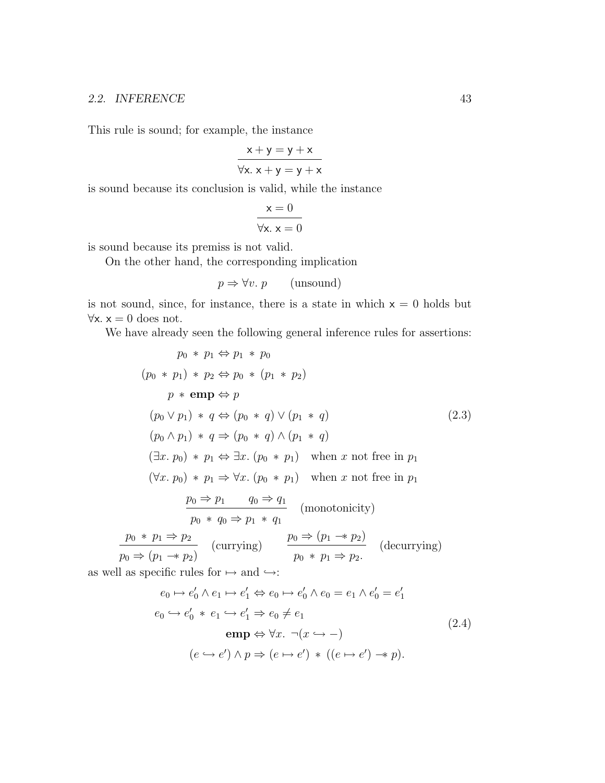#### 2.2. INFERENCE 43

This rule is sound; for example, the instance

$$
x + y = y + x
$$
  

$$
\forall x. x + y = y + x
$$

is sound because its conclusion is valid, while the instance

$$
x = 0
$$
  

$$
\forall x. x = 0
$$

is sound because its premiss is not valid.

On the other hand, the corresponding implication

$$
p \Rightarrow \forall v. \ p \qquad \text{(unsound)}
$$

is not sound, since, for instance, there is a state in which  $x = 0$  holds but  $\forall x. x = 0$  does not.

We have already seen the following general inference rules for assertions:

$$
p_0 * p_1 \Leftrightarrow p_1 * p_0
$$
  
\n
$$
(p_0 * p_1) * p_2 \Leftrightarrow p_0 * (p_1 * p_2)
$$
  
\n
$$
p * \text{emp} \Leftrightarrow p
$$
  
\n
$$
(p_0 \lor p_1) * q \Leftrightarrow (p_0 * q) \lor (p_1 * q)
$$
  
\n
$$
(p_0 \land p_1) * q \Rightarrow (p_0 * q) \land (p_1 * q)
$$
  
\n
$$
(\exists x. p_0) * p_1 \Leftrightarrow \exists x. (p_0 * p_1) \text{ when } x \text{ not free in } p_1
$$
  
\n
$$
(\forall x. p_0) * p_1 \Rightarrow \forall x. (p_0 * p_1) \text{ when } x \text{ not free in } p_1
$$
  
\n
$$
\frac{p_0 \Rightarrow p_1 \qquad q_0 \Rightarrow q_1}{p_0 * q_0 \Rightarrow p_1 * q_1} \text{ (monotonicity)}
$$
  
\n
$$
\frac{p_0 * p_1 \Rightarrow p_2}{p_0 \Rightarrow (p_1 \rightarrow p_2)} \text{ (curring)} \qquad \frac{p_0 \Rightarrow (p_1 \rightarrow p_2)}{p_0 * p_1 \Rightarrow p_2} \text{ (decurrying)}
$$
  
\nas well as specific rules for  $\mapsto$  and  $\rightarrow$ :  
\n
$$
e_0 \mapsto e'_0 \land e_1 \mapsto e'_1 \Leftrightarrow e_0 \mapsto e'_0 \land e_0 = e_1 \land e'_0 = e'_1
$$

$$
e_0 \hookrightarrow e'_0 * e_1 \hookrightarrow e'_1 \Rightarrow e_0 \neq e_1
$$
  
\n
$$
\mathbf{emp} \Leftrightarrow \forall x. \ \neg(x \hookrightarrow -)
$$
  
\n
$$
(e \hookrightarrow e') \land p \Rightarrow (e \mapsto e') * ((e \mapsto e') \twoheadrightarrow p).
$$
\n(2.4)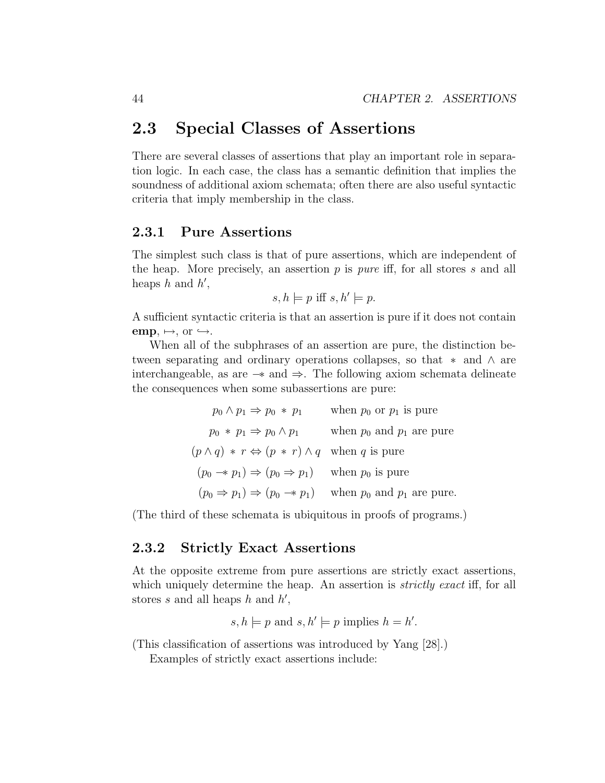## 2.3 Special Classes of Assertions

There are several classes of assertions that play an important role in separation logic. In each case, the class has a semantic definition that implies the soundness of additional axiom schemata; often there are also useful syntactic criteria that imply membership in the class.

### 2.3.1 Pure Assertions

The simplest such class is that of pure assertions, which are independent of the heap. More precisely, an assertion  $p$  is *pure* iff, for all stores  $s$  and all heaps  $h$  and  $h'$ ,

$$
s, h \models p \text{ iff } s, h' \models p.
$$

A sufficient syntactic criteria is that an assertion is pure if it does not contain  $emp, \mapsto, or \hookrightarrow.$ 

When all of the subphrases of an assertion are pure, the distinction between separating and ordinary operations collapses, so that  $*$  and  $\wedge$  are interchangeable, as are  $-*$  and  $\Rightarrow$ . The following axiom schemata delineate the consequences when some subassertions are pure:

| $p_0 \wedge p_1 \Rightarrow p_0 * p_1$                                       | when $p_0$ or $p_1$ is pure                                                              |
|------------------------------------------------------------------------------|------------------------------------------------------------------------------------------|
| $p_0 * p_1 \Rightarrow p_0 \wedge p_1$                                       | when $p_0$ and $p_1$ are pure                                                            |
| $(p \wedge q) * r \Leftrightarrow (p * r) \wedge q$ when q is pure           |                                                                                          |
| $(p_0 \rightarrow p_1) \Rightarrow (p_0 \rightarrow p_1)$ when $p_0$ is pure |                                                                                          |
|                                                                              | $(p_0 \Rightarrow p_1) \Rightarrow (p_0 \Rightarrow p_1)$ when $p_0$ and $p_1$ are pure. |

(The third of these schemata is ubiquitous in proofs of programs.)

## 2.3.2 Strictly Exact Assertions

At the opposite extreme from pure assertions are strictly exact assertions, which uniquely determine the heap. An assertion is *strictly exact* iff, for all stores s and all heaps h and  $h'$ ,

 $s, h \models p \text{ and } s, h' \models p \text{ implies } h = h'.$ 

(This classification of assertions was introduced by Yang [28].)

Examples of strictly exact assertions include: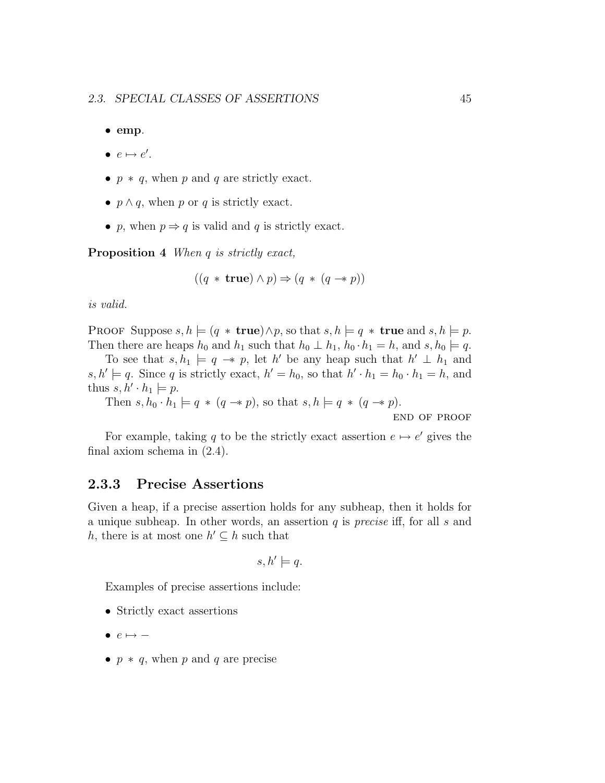• emp.

- $e \mapsto e'$ .
- $p * q$ , when p and q are strictly exact.
- $p \wedge q$ , when p or q is strictly exact.
- p, when  $p \Rightarrow q$  is valid and q is strictly exact.

Proposition 4 When q is strictly exact,

$$
((q * \mathbf{true}) \land p) \Rightarrow (q * (q \rightarrow p))
$$

is valid.

PROOF Suppose  $s, h \models (q * \textbf{true}) \land p$ , so that  $s, h \models q * \textbf{true}$  and  $s, h \models p$ . Then there are heaps  $h_0$  and  $h_1$  such that  $h_0 \perp h_1$ ,  $h_0 \cdot h_1 = h$ , and  $s, h_0 \models q$ .

To see that  $s, h_1 \models q \rightarrow p$ , let h' be any heap such that  $h' \perp h_1$  and  $s, h' \models q$ . Since q is strictly exact,  $h' = h_0$ , so that  $h' \cdot h_1 = h_0 \cdot h_1 = h$ , and thus  $s, h' \cdot h_1 \models p$ .

Then  $s, h_0 \cdot \hat{h}_1 \models q * (q \rightarrow p)$ , so that  $s, h \models q * (q \rightarrow p)$ .

end of proof

For example, taking q to be the strictly exact assertion  $e \mapsto e'$  gives the final axiom schema in (2.4).

## 2.3.3 Precise Assertions

Given a heap, if a precise assertion holds for any subheap, then it holds for a unique subheap. In other words, an assertion  $q$  is *precise* iff, for all  $s$  and h, there is at most one  $h' \subseteq h$  such that

$$
s, h' \models q.
$$

Examples of precise assertions include:

- Strictly exact assertions
- $\bullet$   $e \mapsto -$
- $p * q$ , when p and q are precise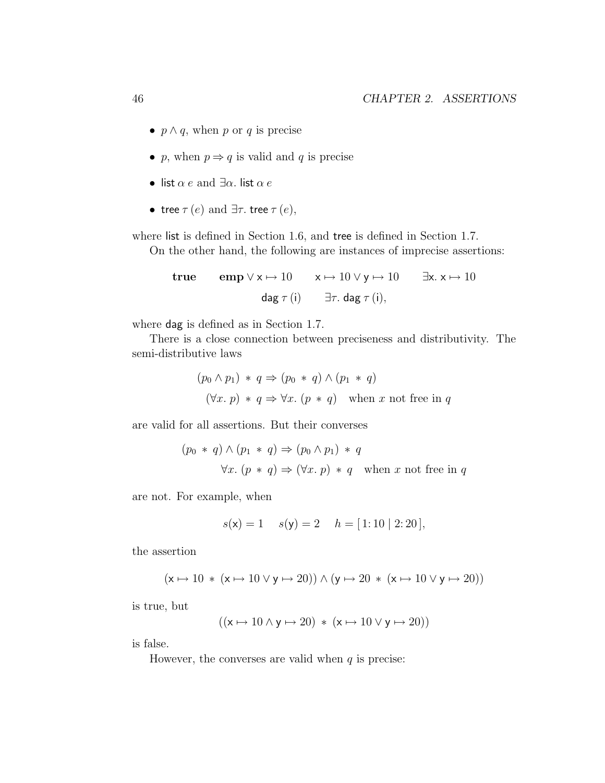- $p \wedge q$ , when p or q is precise
- p, when  $p \Rightarrow q$  is valid and q is precise
- list  $\alpha e$  and  $\exists \alpha$ . list  $\alpha e$
- tree  $\tau(e)$  and  $\exists \tau$ . tree  $\tau(e)$ ,

where list is defined in Section 1.6, and tree is defined in Section 1.7.

On the other hand, the following are instances of imprecise assertions:

true  $\text{emp } \forall x \mapsto 10 \quad x \mapsto 10 \lor y \mapsto 10 \quad \exists x. \ x \mapsto 10$ dag  $\tau(i)$   $\exists \tau.$  dag  $\tau(i)$ ,

where dag is defined as in Section 1.7.

There is a close connection between preciseness and distributivity. The semi-distributive laws

$$
(p_0 \land p_1) * q \Rightarrow (p_0 * q) \land (p_1 * q)
$$
  

$$
(\forall x. p) * q \Rightarrow \forall x. (p * q) \text{ when } x \text{ not free in } q
$$

are valid for all assertions. But their converses

$$
(p_0 * q) \land (p_1 * q) \Rightarrow (p_0 \land p_1) * q
$$
  

$$
\forall x. (p * q) \Rightarrow (\forall x. p) * q \text{ when } x \text{ not free in } q
$$

are not. For example, when

$$
s(\mathbf{x}) = 1
$$
  $s(\mathbf{y}) = 2$   $h = [1:10 | 2:20],$ 

the assertion

$$
(\textbf{x}\mapsto 10 \; * \; (\textbf{x}\mapsto 10 \lor \textbf{y}\mapsto 20)) \land (\textbf{y}\mapsto 20 \; * \; (\textbf{x}\mapsto 10 \lor \textbf{y}\mapsto 20))
$$

is true, but

$$
((x \mapsto 10 \land y \mapsto 20) * (x \mapsto 10 \lor y \mapsto 20))
$$

is false.

However, the converses are valid when  $q$  is precise: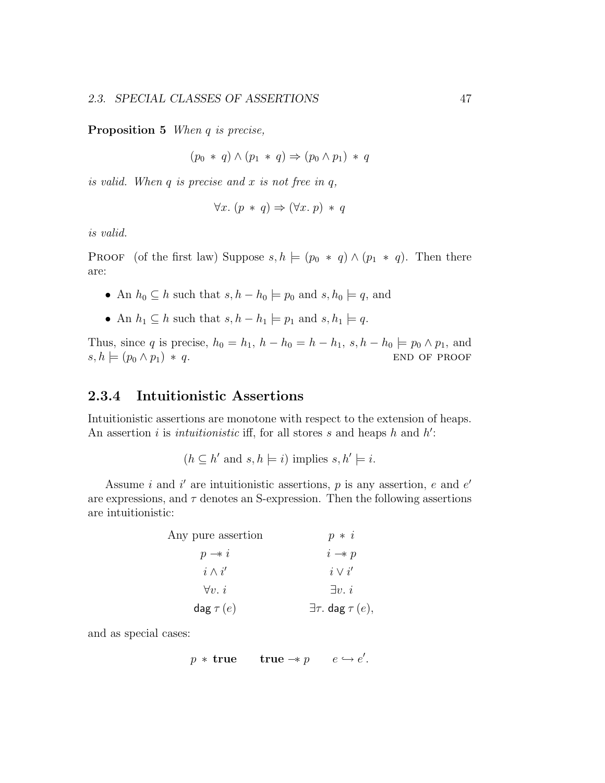Proposition 5 When q is precise,

$$
(p_0 * q) \wedge (p_1 * q) \Rightarrow (p_0 \wedge p_1) * q
$$

is valid. When  $q$  is precise and  $x$  is not free in  $q$ ,

$$
\forall x. (p * q) \Rightarrow (\forall x. p) * q
$$

is valid.

PROOF (of the first law) Suppose  $s, h \models (p_0 * q) \wedge (p_1 * q)$ . Then there are:

- An  $h_0 \subseteq h$  such that  $s, h h_0 \models p_0$  and  $s, h_0 \models q$ , and
- An  $h_1 \subseteq h$  such that  $s, h h_1 \models p_1$  and  $s, h_1 \models q$ .

Thus, since q is precise,  $h_0 = h_1$ ,  $h - h_0 = h - h_1$ ,  $s, h - h_0 \models p_0 \land p_1$ , and  $s, h \models (p_0 \land p_1) * q.$  END OF PROOF

## 2.3.4 Intuitionistic Assertions

Intuitionistic assertions are monotone with respect to the extension of heaps. An assertion i is *intuitionistic* iff, for all stores s and heaps h and  $h'$ :

$$
(h \subseteq h' \text{ and } s, h \models i) \text{ implies } s, h' \models i.
$$

Assume i and i' are intuitionistic assertions,  $p$  is any assertion,  $e$  and  $e'$ are expressions, and  $\tau$  denotes an S-expression. Then the following assertions are intuitionistic:

| Any pure assertion | $p * i$                          |
|--------------------|----------------------------------|
| $p \rightarrow i$  | $i \rightarrow p$                |
| $i \wedge i'$      | $i \vee i'$                      |
| $\forall v. i$     | $\exists v.\ i$                  |
| dag $\tau(e)$      | $\exists \tau$ . dag $\tau(e)$ , |

and as special cases:

$$
p * \textbf{true} \qquad \textbf{true} \rightarrow p \qquad e \hookrightarrow e'.
$$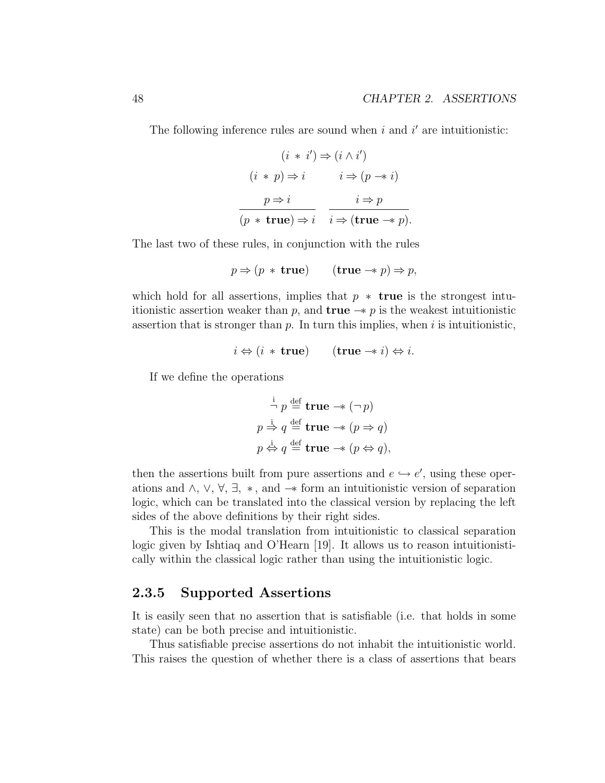The following inference rules are sound when  $i$  and  $i'$  are intuitionistic:

$$
(i * i') \Rightarrow (i \land i')
$$
  
\n
$$
(i * p) \Rightarrow i \qquad i \Rightarrow (p \rightarrow i)
$$
  
\n
$$
\underline{p \Rightarrow i} \qquad i \Rightarrow p
$$
  
\n
$$
\overline{(p * \text{true}) \Rightarrow i} \qquad i \Rightarrow (\text{true} \rightarrow p).
$$

The last two of these rules, in conjunction with the rules

$$
p \Rightarrow (p * \text{ true}) \qquad (\text{true} \rightarrow p) \Rightarrow p,
$$

which hold for all assertions, implies that  $p * true$  is the strongest intuitionistic assertion weaker than p, and **true**  $\rightarrow$  p is the weakest intuitionistic assertion that is stronger than  $p$ . In turn this implies, when  $i$  is intuitionistic,

$$
i \Leftrightarrow (i * \text{ true}) \qquad (\text{true} \to i) \Leftrightarrow i.
$$

If we define the operations

$$
\begin{aligned}\n\stackrel{\text{i}}{\neg} p &\stackrel{\text{def}}{=} \text{true} \rightarrow (\neg p) \\
p &\stackrel{\text{j}}{\Rightarrow} q \stackrel{\text{def}}{=} \text{true} \rightarrow (p \Rightarrow q) \\
p &\stackrel{\text{j}}{\Leftrightarrow} q \stackrel{\text{def}}{=} \text{true} \rightarrow (p \Leftrightarrow q),\n\end{aligned}
$$

then the assertions built from pure assertions and  $e \hookrightarrow e'$ , using these operations and  $\wedge$ ,  $\vee$ ,  $\forall$ ,  $\exists$ ,  $*$ , and  $-*$  form an intuitionistic version of separation logic, which can be translated into the classical version by replacing the left sides of the above definitions by their right sides.

This is the modal translation from intuitionistic to classical separation logic given by Ishtiaq and O'Hearn [19]. It allows us to reason intuitionistically within the classical logic rather than using the intuitionistic logic.

### 2.3.5 Supported Assertions

It is easily seen that no assertion that is satisfiable (i.e. that holds in some state) can be both precise and intuitionistic.

Thus satisfiable precise assertions do not inhabit the intuitionistic world. This raises the question of whether there is a class of assertions that bears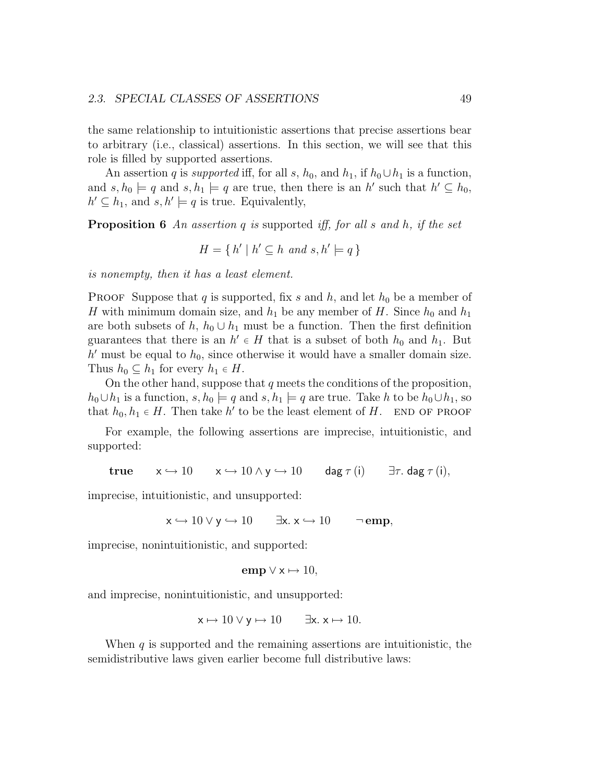the same relationship to intuitionistic assertions that precise assertions bear to arbitrary (i.e., classical) assertions. In this section, we will see that this role is filled by supported assertions.

An assertion q is supported iff, for all s,  $h_0$ , and  $h_1$ , if  $h_0 \cup h_1$  is a function, and  $s, h_0 \models q$  and  $s, h_1 \models q$  are true, then there is an h' such that  $h' \subseteq h_0$ ,  $h' \subseteq h_1$ , and  $s, h' \models q$  is true. Equivalently,

**Proposition 6** An assertion q is supported iff, for all s and h, if the set

$$
H = \{ h' \mid h' \subseteq h \text{ and } s, h' \models q \}
$$

is nonempty, then it has a least element.

**PROOF** Suppose that q is supported, fix s and h, and let  $h_0$  be a member of H with minimum domain size, and  $h_1$  be any member of H. Since  $h_0$  and  $h_1$ are both subsets of h,  $h_0 \cup h_1$  must be a function. Then the first definition guarantees that there is an  $h' \in H$  that is a subset of both  $h_0$  and  $h_1$ . But  $h'$  must be equal to  $h_0$ , since otherwise it would have a smaller domain size. Thus  $h_0 \subseteq h_1$  for every  $h_1 \in H$ .

On the other hand, suppose that  $q$  meets the conditions of the proposition,  $h_0 \cup h_1$  is a function,  $s, h_0 \models q$  and  $s, h_1 \models q$  are true. Take h to be  $h_0 \cup h_1$ , so that  $h_0, h_1 \in H$ . Then take h' to be the least element of H. END OF PROOF

For example, the following assertions are imprecise, intuitionistic, and supported:

$$
true \t x \hookrightarrow 10 \t x \hookrightarrow 10 \wedge y \hookrightarrow 10 \t\t diag \tau(i) \t \exists \tau. \text{ dag } \tau(i),
$$

imprecise, intuitionistic, and unsupported:

 $x \hookrightarrow 10 \vee y \hookrightarrow 10$   $\exists x. x \hookrightarrow 10$   $\neg$ **emp**,

imprecise, nonintuitionistic, and supported:

$$
emp \vee x \mapsto 10,
$$

and imprecise, nonintuitionistic, and unsupported:

$$
x \mapsto 10 \lor y \mapsto 10 \qquad \exists x. \ x \mapsto 10.
$$

When  $q$  is supported and the remaining assertions are intuitionistic, the semidistributive laws given earlier become full distributive laws: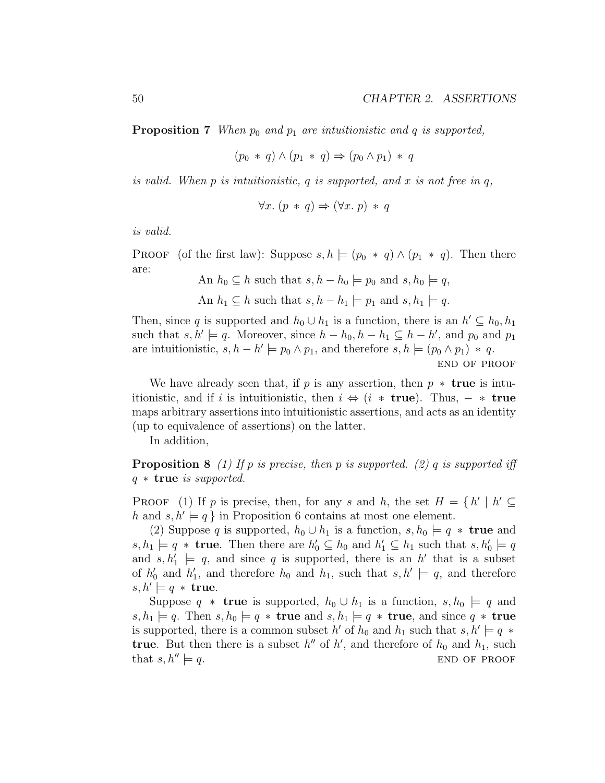**Proposition 7** When  $p_0$  and  $p_1$  are intuitionistic and q is supported,

$$
(p_0 * q) \wedge (p_1 * q) \Rightarrow (p_0 \wedge p_1) * q
$$

is valid. When  $p$  is intuitionistic,  $q$  is supported, and  $x$  is not free in  $q$ ,

$$
\forall x. (p * q) \Rightarrow (\forall x. p) * q
$$

is valid.

**PROOF** (of the first law): Suppose  $s, h \models (p_0 * q) \land (p_1 * q)$ . Then there are: An h<sup>0</sup> ⊆ h such that s, h − h<sup>0</sup> |= p<sup>0</sup> and s, h<sup>0</sup> |= q,

An 
$$
h_0 \subseteq h
$$
 such that  $s, h - h_0 \models p_0$  and  $s, h_0 \models q$ ,  
An  $h_1 \subseteq h$  such that  $s, h - h_1 \models p_1$  and  $s, h_1 \models q$ .

Then, since q is supported and  $h_0 \cup h_1$  is a function, there is an  $h' \subseteq h_0, h_1$ such that  $s, h' \models q$ . Moreover, since  $h - h_0, h - h_1 \subseteq h - h'$ , and  $p_0$  and  $p_1$ are intuitionistic,  $s, h - h' \models p_0 \land p_1$ , and therefore  $s, h \models (p_0 \land p_1) * q$ .

end of proof

We have already seen that, if p is any assertion, then  $p *$  true is intuitionistic, and if i is intuitionistic, then  $i \Leftrightarrow (i * \text{ true})$ . Thus,  $- * \text{ true}$ maps arbitrary assertions into intuitionistic assertions, and acts as an identity (up to equivalence of assertions) on the latter.

In addition,

**Proposition 8** (1) If p is precise, then p is supported. (2) q is supported iff  $q \ast$  true is supported.

**PROOF** (1) If p is precise, then, for any s and h, the set  $H = \{h' \mid h' \subseteq$ h and  $s, h' \models q$  in Proposition 6 contains at most one element.

(2) Suppose q is supported,  $h_0 \cup h_1$  is a function,  $s, h_0 \models q * \textbf{true}$  and  $s, h_1 \models q * \textbf{true}.$  Then there are  $h'_0 \subseteq h_0$  and  $h'_1 \subseteq h_1$  such that  $s, h'_0 \models q$ and  $s, h'_1 \models q$ , and since q is supported, there is an h' that is a subset of  $h'_0$  and  $h'_1$ , and therefore  $h_0$  and  $h_1$ , such that  $s, h' \models q$ , and therefore  $s, h' \models q * \text{true}.$ 

Suppose  $q *$  true is supported,  $h_0 \cup h_1$  is a function,  $s, h_0 \models q$  and  $s, h_1 \models q$ . Then  $s, h_0 \models q * \textbf{true}$  and  $s, h_1 \models q * \textbf{true}$ , and since  $q * \textbf{true}$ is supported, there is a common subset  $h'$  of  $h_0$  and  $h_1$  such that  $s, h' \models q *$ true. But then there is a subset  $h''$  of  $h'$ , and therefore of  $h_0$  and  $h_1$ , such that  $s, h'' \models q$ . END OF PROOF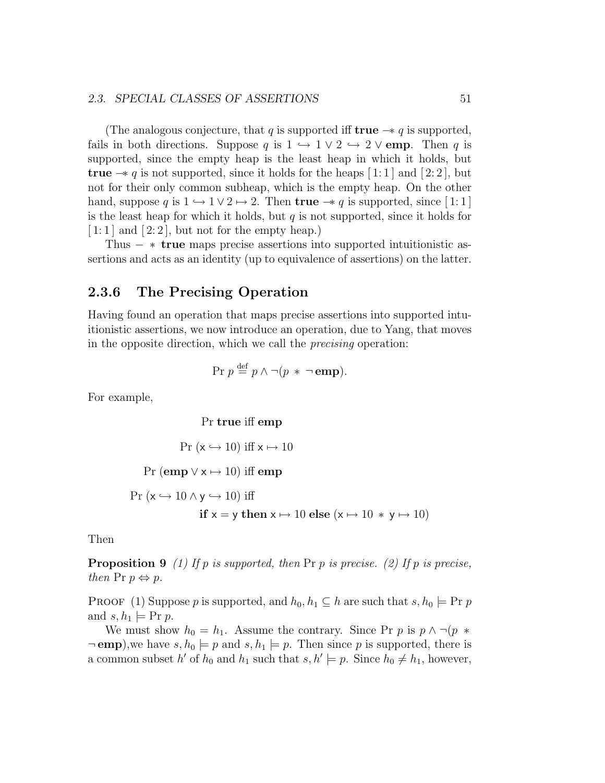#### 2.3. SPECIAL CLASSES OF ASSERTIONS 51

(The analogous conjecture, that q is supported iff true  $\rightarrow q$  is supported, fails in both directions. Suppose q is  $1 \leftrightarrow 1 \vee 2 \leftrightarrow 2 \vee$  emp. Then q is supported, since the empty heap is the least heap in which it holds, but true  $\rightarrow q$  is not supported, since it holds for the heaps [1:1] and [2:2], but not for their only common subheap, which is the empty heap. On the other hand, suppose q is  $1 \hookrightarrow 1 \vee 2 \mapsto 2$ . Then true  $-*$  q is supported, since [1:1] is the least heap for which it holds, but  $q$  is not supported, since it holds for  $[1:1]$  and  $[2:2]$ , but not for the empty heap.)

Thus  $*$  true maps precise assertions into supported intuitionistic assertions and acts as an identity (up to equivalence of assertions) on the latter.

## 2.3.6 The Precising Operation

Having found an operation that maps precise assertions into supported intuitionistic assertions, we now introduce an operation, due to Yang, that moves in the opposite direction, which we call the precising operation:

$$
Pr p \stackrel{\text{def}}{=} p \land \neg (p * \neg \textbf{emp}).
$$

For example,

Pr true iff emp

Pr  $(x \hookrightarrow 10)$  iff  $x \mapsto 10$ 

Pr (emp  $\forall x \mapsto 10$ ) iff emp

 $Pr(x \hookrightarrow 10 \land y \hookrightarrow 10)$  iff if  $x = y$  then  $x \mapsto 10$  else  $(x \mapsto 10 * y \mapsto 10)$ 

Then

**Proposition 9** (1) If p is supported, then Pr p is precise. (2) If p is precise, then Pr  $p \Leftrightarrow p$ .

**PROOF** (1) Suppose p is supported, and  $h_0, h_1 \subseteq h$  are such that  $s, h_0 \models \text{Pr } p$ and  $s, h_1 \models \text{Pr } p$ .

We must show  $h_0 = h_1$ . Assume the contrary. Since Pr p is  $p \wedge \neg (p *$  $\neg$  emp), we have  $s, h_0 \models p$  and  $s, h_1 \models p$ . Then since p is supported, there is a common subset h' of  $h_0$  and  $h_1$  such that  $s, h' \models p$ . Since  $h_0 \neq h_1$ , however,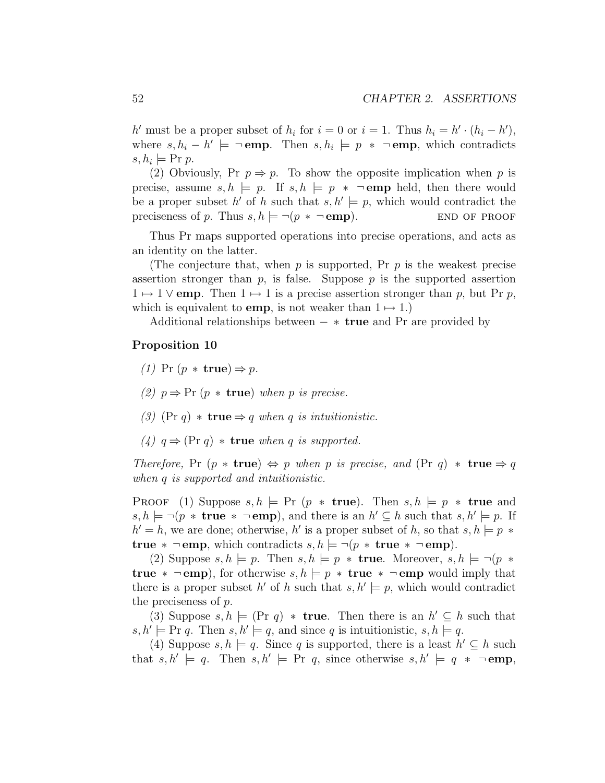h' must be a proper subset of  $h_i$  for  $i = 0$  or  $i = 1$ . Thus  $h_i = h' \cdot (h_i - h')$ , where  $s, h_i - h' \models \neg \textbf{emp.}$  Then  $s, h_i \models p * \neg \textbf{emp}$ , which contradicts  $s, h_i \models \text{Pr } p.$ 

(2) Obviously, Pr  $p \Rightarrow p$ . To show the opposite implication when p is precise, assume  $s, h \models p$ . If  $s, h \models p * \neg \textbf{emp}$  held, then there would be a proper subset h' of h such that  $s, h' \models p$ , which would contradict the preciseness of p. Thus  $s, h \models \neg (p \ast \neg \text{emp})$ . END OF PROOF

Thus Pr maps supported operations into precise operations, and acts as an identity on the latter.

(The conjecture that, when  $p$  is supported, Pr  $p$  is the weakest precise assertion stronger than  $p$ , is false. Suppose  $p$  is the supported assertion  $1 \mapsto 1$   $\vee$  emp. Then  $1 \mapsto 1$  is a precise assertion stronger than p, but Pr p, which is equivalent to **emp**, is not weaker than  $1 \mapsto 1$ .)

Additional relationships between  $-$  ∗ true and Pr are provided by

#### Proposition 10

- (1) Pr  $(p * true) \Rightarrow p$ .
- (2)  $p \Rightarrow Pr(p * true)$  when p is precise.
- (3) (Pr q)  $*$  true  $\Rightarrow$  q when q is intuitionistic.
- (4)  $q \Rightarrow (\text{Pr } q) * \text{true}$  when q is supported.

Therefore, Pr  $(p * true) \Leftrightarrow p$  when p is precise, and  $(\text{Pr } q) * true \Rightarrow q$ when q is supported and intuitionistic.

**PROOF** (1) Suppose  $s, h \models Pr (p * true)$ . Then  $s, h \models p * true$  and  $s, h \models \neg (p * \textbf{true} * \neg \textbf{emp})$ , and there is an  $h' \subseteq h$  such that  $s, h' \models p$ . If  $h' = h$ , we are done; otherwise, h' is a proper subset of h, so that  $s, h \models p *$ true  $* \neg$  emp, which contradicts  $s, h \models \neg (p * \text{true} * \neg \text{emp}).$ 

(2) Suppose  $s, h \models p$ . Then  $s, h \models p *$  true. Moreover,  $s, h \models \neg (p *$ true  $* \neg \text{emp}$ , for otherwise  $s, h \models p * \text{ true } * \neg \text{emp}$  would imply that there is a proper subset h' of h such that  $s, h' \models p$ , which would contradict the preciseness of p.

(3) Suppose  $s, h \models (\Pr q) * \textbf{true}$ . Then there is an  $h' \subseteq h$  such that  $s, h' \models \text{Pr } q$ . Then  $s, h' \models q$ , and since q is intuitionistic,  $s, h \models q$ .

(4) Suppose  $s, h \models q$ . Since q is supported, there is a least  $h' \subseteq h$  such that  $s, h' \models q$ . Then  $s, h' \models \text{Pr } q$ , since otherwise  $s, h' \models q * \neg \textbf{emp}$ ,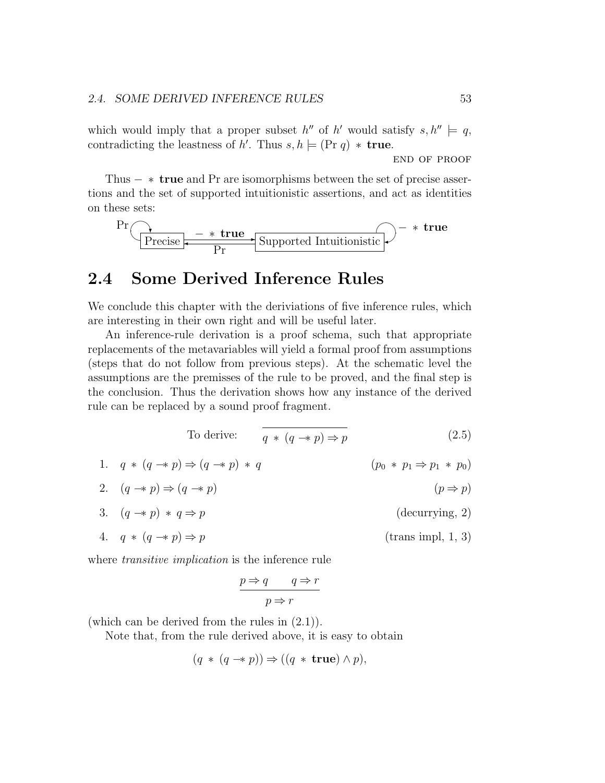which would imply that a proper subset  $h''$  of h' would satisfy  $s, h'' \models q$ , contradicting the leastness of h'. Thus  $s, h \models (\text{Pr } q) * \text{true.}$ 

end of proof

Thus  $- *$  true and Pr are isomorphisms between the set of precise assertions and the set of supported intuitionistic assertions, and act as identities on these sets:

$$
\text{Pr}\left(\underbrace{\leftarrow}_{\text{Precise}} - \underbrace{\leftarrow}_{\text{Pr}} \underbrace{\leftarrow}_{\text{Supported Intuitionistic}}\right) - \leftarrow \text{true}
$$

# 2.4 Some Derived Inference Rules

We conclude this chapter with the deriviations of five inference rules, which are interesting in their own right and will be useful later.

An inference-rule derivation is a proof schema, such that appropriate replacements of the metavariables will yield a formal proof from assumptions (steps that do not follow from previous steps). At the schematic level the assumptions are the premisses of the rule to be proved, and the final step is the conclusion. Thus the derivation shows how any instance of the derived rule can be replaced by a sound proof fragment.

To derive: 
$$
\overline{q * (q \to p) \Rightarrow p}
$$
 (2.5)

1.  $q * (q \to p) \Rightarrow (q \to p) * q$  (p<sub>0</sub> \* p<sub>1</sub>  $\Rightarrow$  p<sub>1</sub> \* p<sub>0</sub>) 2.  $(q \rightarrow p) \Rightarrow (q \rightarrow p)$  (p  $\Rightarrow p$ ) 3.  $(q \rightarrow p) * q \Rightarrow p$  (decurrying, 2) 4.  $q * (q \rightarrow p) \Rightarrow p$  (trans impl, 1, 3)

where *transitive implication* is the inference rule

$$
\frac{p \Rightarrow q \qquad q \Rightarrow r}{p \Rightarrow r}
$$

(which can be derived from the rules in (2.1)).

Note that, from the rule derived above, it is easy to obtain

$$
(q * (q \rightarrow p)) \Rightarrow ((q * true) \land p),
$$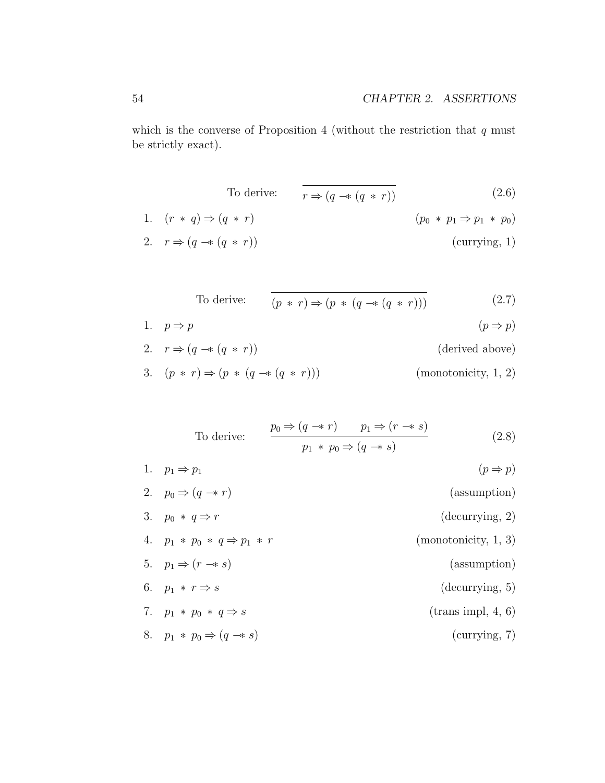which is the converse of Proposition 4 (without the restriction that  $q$  must be strictly exact).

To derive:  $\overline{r \Rightarrow (q \rightarrow (q * r))}$  (2.6)

1. 
$$
(r * q) \Rightarrow (q * r)
$$
  
\n2.  $r \Rightarrow (q \rightarrow (q * r))$   
\n $(p_0 * p_1 \Rightarrow p_1 * p_0)$   
\n $(\text{currying, 1})$ 

To derive: 
$$
(p * r) \Rightarrow (p * (q \rightarrow (q * r)))
$$
 (2.7)

1. 
$$
p \Rightarrow p
$$
  $(p \Rightarrow p)$ 

- 2.  $r \Rightarrow (q \rightarrow (q * r))$  (derived above)
- 3.  $(p * r) \Rightarrow (p * (q \rightarrow r)))$  (monotonicity, 1, 2)

To derive:  
\n
$$
\frac{p_0 \Rightarrow (q \rightarrow r) \qquad p_1 \Rightarrow (r \rightarrow s)}{p_1 * p_0 \Rightarrow (q \rightarrow s)}
$$
\n
$$
(2.8)
$$
\n1.  $p_1 \Rightarrow p_1$  ( $p \Rightarrow p$ )  
\n2.  $p_0 \Rightarrow (q \rightarrow r)$  (assumption)  
\n3.  $p_0 * q \Rightarrow r$  (decurring, 2)  
\n4.  $p_1 * p_0 * q \Rightarrow p_1 * r$  (monotonicity, 1, 3)  
\n5.  $p_1 \Rightarrow (r \rightarrow s)$  (assumption)  
\n6.  $p_1 * r \Rightarrow s$  (decurring, 5)  
\n7.  $p_1 * p_0 * q \Rightarrow s$  (trans impl, 4, 6)  
\n8.  $p_1 * p_0 \Rightarrow (q \rightarrow s)$  (currying, 7)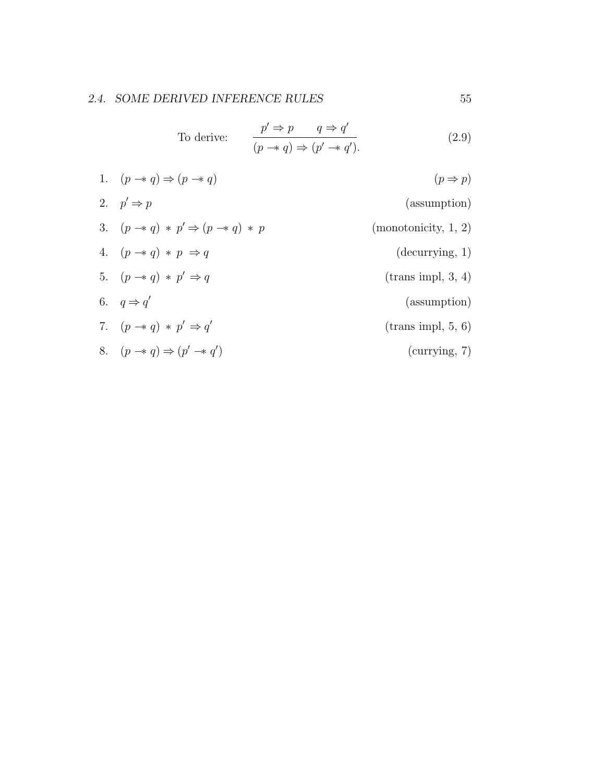To derive: 
$$
\frac{p' \Rightarrow p \qquad q \Rightarrow q'}{(p \rightarrow q) \Rightarrow (p' \rightarrow q').}
$$
 (2.9)

1. 
$$
(p \rightarrow q) \Rightarrow (p \rightarrow q)
$$
  $(p \Rightarrow p)$   
\n2.  $p' \Rightarrow p$  (assumption)  
\n3.  $(p \rightarrow q) * p' \Rightarrow (p \rightarrow q) * p$  (monotonicity, 1, 2)  
\n4.  $(p \rightarrow q) * p \Rightarrow q$  (decurring, 1)  
\n5.  $(p \rightarrow q) * p' \Rightarrow q$  (trans impl, 3, 4)  
\n6.  $q \Rightarrow q'$  (assumption)  
\n7.  $(p \rightarrow q) * p' \Rightarrow q'$  (trans impl, 5, 6)  
\n8.  $(p \rightarrow q) \Rightarrow (p' \rightarrow q')$  (currying, 7)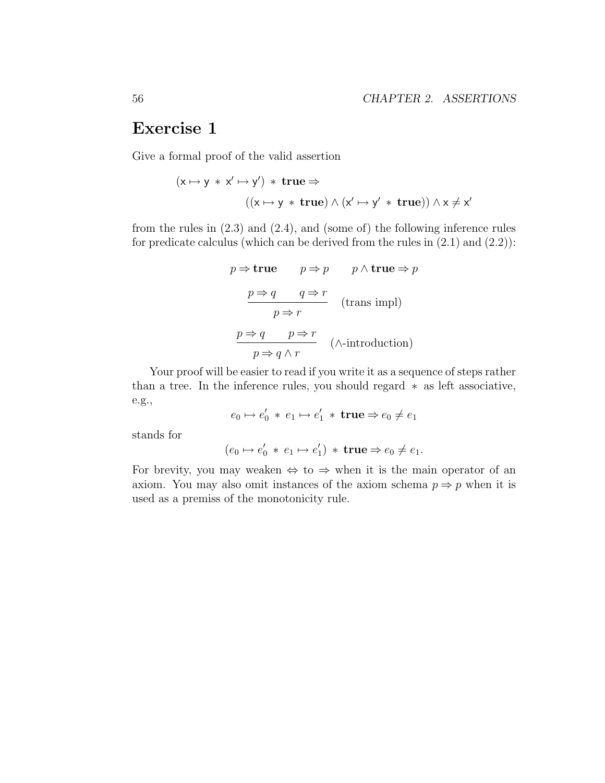# Exercise 1

Give a formal proof of the valid assertion

$$
(x \mapsto y * x' \mapsto y') * true \Rightarrow
$$
  

$$
((x \mapsto y * true) \land (x' \mapsto y' * true)) \land x \neq x'
$$

from the rules in (2.3) and (2.4), and (some of) the following inference rules for predicate calculus (which can be derived from the rules in  $(2.1)$  and  $(2.2)$ ):

$$
p \Rightarrow \textbf{true} \qquad p \Rightarrow p \qquad p \land \textbf{true} \Rightarrow p
$$

$$
\frac{p \Rightarrow q \qquad q \Rightarrow r}{p \Rightarrow r} \qquad (\text{trans impl})
$$

$$
\frac{p \Rightarrow q \qquad p \Rightarrow r}{p \Rightarrow q \land r} \qquad (\land \text{-introduction})
$$

Your proof will be easier to read if you write it as a sequence of steps rather than a tree. In the inference rules, you should regard ∗ as left associative, e.g.,

$$
e_0 \mapsto e'_0 \, * \, e_1 \mapsto e'_1 \, * \, \mathbf{true} \Rightarrow e_0 \neq e_1
$$

stands for

 $(e_0 \mapsto e'_0 \, * \, e_1 \mapsto e'_1) \, * \, \text{true} \Rightarrow e_0 \neq e_1.$ 

For brevity, you may weaken  $\Leftrightarrow$  to  $\Rightarrow$  when it is the main operator of an axiom. You may also omit instances of the axiom schema  $p \Rightarrow p$  when it is used as a premiss of the monotonicity rule.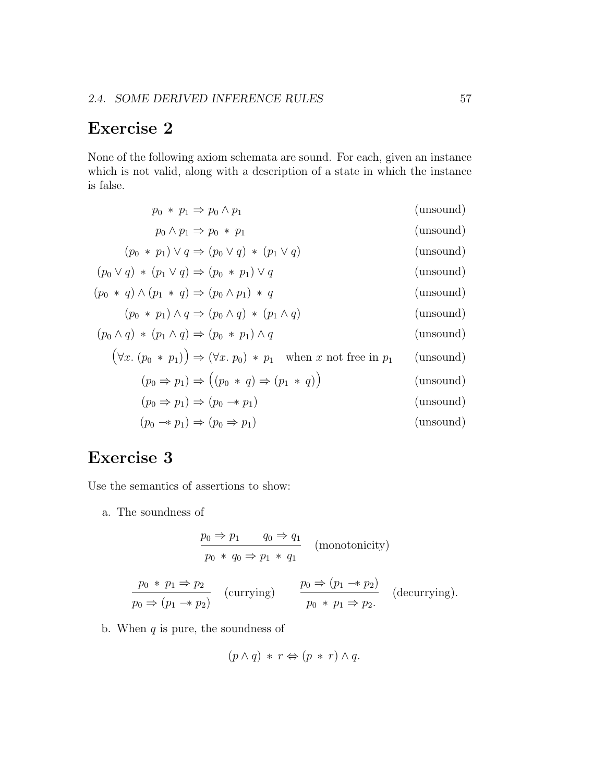# Exercise 2

None of the following axiom schemata are sound. For each, given an instance which is not valid, along with a description of a state in which the instance is false.

| $p_0 * p_1 \Rightarrow p_0 \wedge p_1$                                                 | (unsound) |
|----------------------------------------------------------------------------------------|-----------|
| $p_0 \wedge p_1 \Rightarrow p_0 * p_1$                                                 | (unsound) |
| $(p_0 * p_1) \vee q \Rightarrow (p_0 \vee q) * (p_1 \vee q)$                           | (unsound) |
| $(p_0 \vee q) * (p_1 \vee q) \Rightarrow (p_0 * p_1) \vee q$                           | (unsound) |
| $(p_0 * q) \wedge (p_1 * q) \Rightarrow (p_0 \wedge p_1) * q$                          | (unsound) |
| $(p_0 * p_1) \wedge q \Rightarrow (p_0 \wedge q) * (p_1 \wedge q)$                     | (unsound) |
| $(p_0 \wedge q) * (p_1 \wedge q) \Rightarrow (p_0 * p_1) \wedge q$                     | (unsound) |
| $(\forall x. (p_0 * p_1)) \Rightarrow (\forall x. p_0) * p_1$ when x not free in $p_1$ | (unsound) |
| $(p_0 \Rightarrow p_1) \Rightarrow ((p_0 * q) \Rightarrow (p_1 * q))$                  | (unsound) |
| $(p_0 \Rightarrow p_1) \Rightarrow (p_0 \Rightarrow p_1)$                              | (unsound) |
| $(p_0 \rightarrow p_1) \Rightarrow (p_0 \rightarrow p_1)$                              | (unsound) |

# Exercise 3

Use the semantics of assertions to show:

a. The soundness of

$$
\frac{p_0 \Rightarrow p_1 \qquad q_0 \Rightarrow q_1}{p_0 * q_0 \Rightarrow p_1 * q_1} \quad \text{(monotonicity)}
$$

$$
\frac{p_0 * p_1 \Rightarrow p_2}{p_0 \Rightarrow (p_1 \rightarrow p_2)} \quad \text{(currying)} \qquad \frac{p_0 \Rightarrow (p_1 \rightarrow p_2)}{p_0 * p_1 \Rightarrow p_2} \quad \text{(decurring)}.
$$

b. When  $q$  is pure, the soundness of

$$
(p \land q) * r \Leftrightarrow (p * r) \land q.
$$